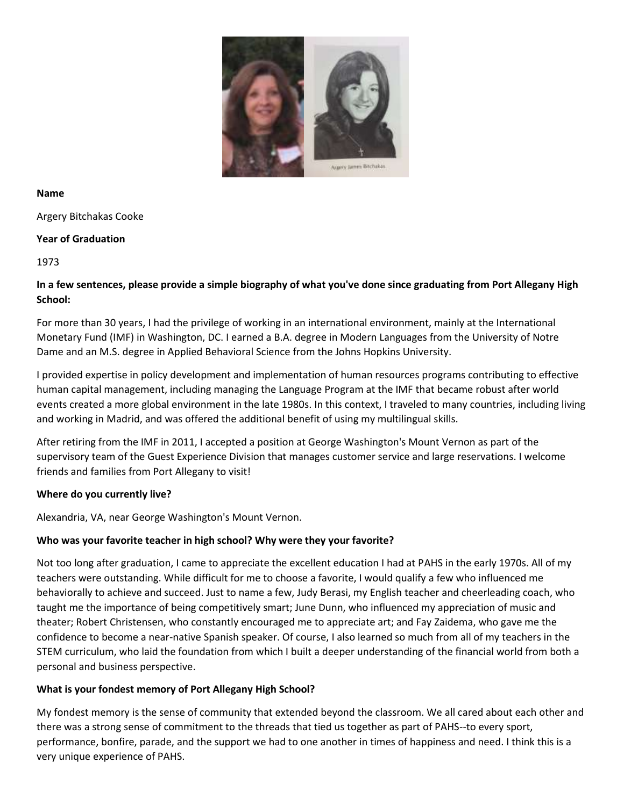

#### **Name**

Argery Bitchakas Cooke

### **Year of Graduation**

1973

### **In a few sentences, please provide a simple biography of what you've done since graduating from Port Allegany High School:**

For more than 30 years, I had the privilege of working in an international environment, mainly at the International Monetary Fund (IMF) in Washington, DC. I earned a B.A. degree in Modern Languages from the University of Notre Dame and an M.S. degree in Applied Behavioral Science from the Johns Hopkins University.

I provided expertise in policy development and implementation of human resources programs contributing to effective human capital management, including managing the Language Program at the IMF that became robust after world events created a more global environment in the late 1980s. In this context, I traveled to many countries, including living and working in Madrid, and was offered the additional benefit of using my multilingual skills.

After retiring from the IMF in 2011, I accepted a position at George Washington's Mount Vernon as part of the supervisory team of the Guest Experience Division that manages customer service and large reservations. I welcome friends and families from Port Allegany to visit!

### **Where do you currently live?**

Alexandria, VA, near George Washington's Mount Vernon.

# **Who was your favorite teacher in high school? Why were they your favorite?**

Not too long after graduation, I came to appreciate the excellent education I had at PAHS in the early 1970s. All of my teachers were outstanding. While difficult for me to choose a favorite, I would qualify a few who influenced me behaviorally to achieve and succeed. Just to name a few, Judy Berasi, my English teacher and cheerleading coach, who taught me the importance of being competitively smart; June Dunn, who influenced my appreciation of music and theater; Robert Christensen, who constantly encouraged me to appreciate art; and Fay Zaidema, who gave me the confidence to become a near-native Spanish speaker. Of course, I also learned so much from all of my teachers in the STEM curriculum, who laid the foundation from which I built a deeper understanding of the financial world from both a personal and business perspective.

# **What is your fondest memory of Port Allegany High School?**

My fondest memory is the sense of community that extended beyond the classroom. We all cared about each other and there was a strong sense of commitment to the threads that tied us together as part of PAHS--to every sport, performance, bonfire, parade, and the support we had to one another in times of happiness and need. I think this is a very unique experience of PAHS.